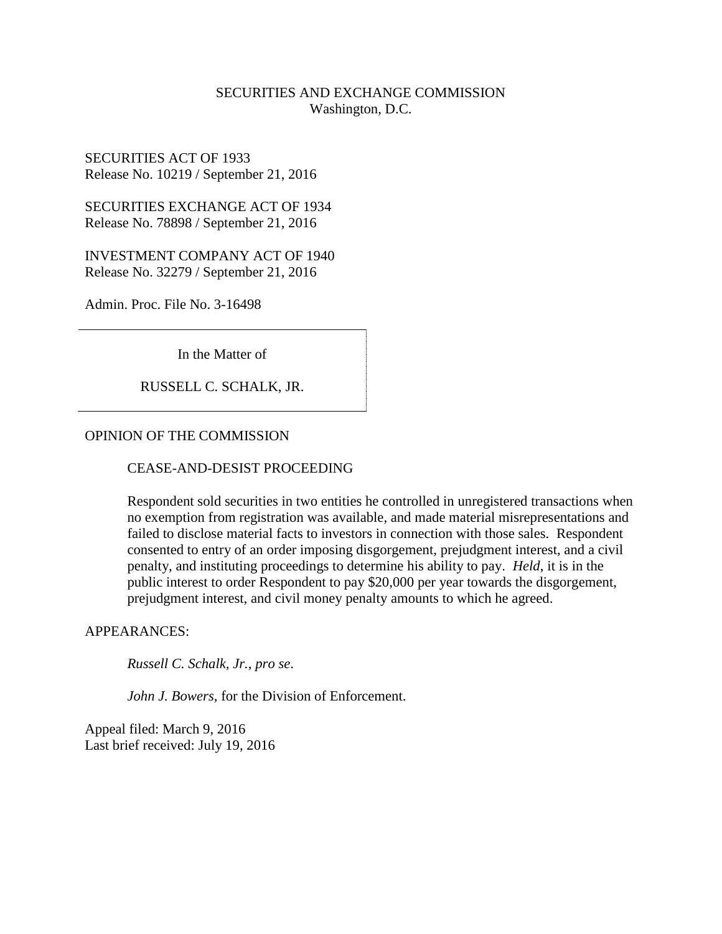# SECURITIES AND EXCHANGE COMMISSION Washington, D.C.

SECURITIES ACT OF 1933 Release No. 10219 / September 21, 2016

SECURITIES EXCHANGE ACT OF 1934 Release No. 78898 / September 21, 2016

INVESTMENT COMPANY ACT OF 1940 Release No. 32279 / September 21, 2016

Admin. Proc. File No. 3-16498

In the Matter of

RUSSELL C. SCHALK, JR.

## OPINION OF THE COMMISSION

#### CEASE-AND-DESIST PROCEEDING

Respondent sold securities in two entities he controlled in unregistered transactions when no exemption from registration was available, and made material misrepresentations and failed to disclose material facts to investors in connection with those sales. Respondent consented to entry of an order imposing disgorgement, prejudgment interest, and a civil penalty, and instituting proceedings to determine his ability to pay. *Held*, it is in the public interest to order Respondent to pay \$20,000 per year towards the disgorgement, prejudgment interest, and civil money penalty amounts to which he agreed.

#### APPEARANCES:

*Russell C. Schalk, Jr.*, *pro se*.

*John J. Bowers*, for the Division of Enforcement.

Appeal filed: March 9, 2016 Last brief received: July 19, 2016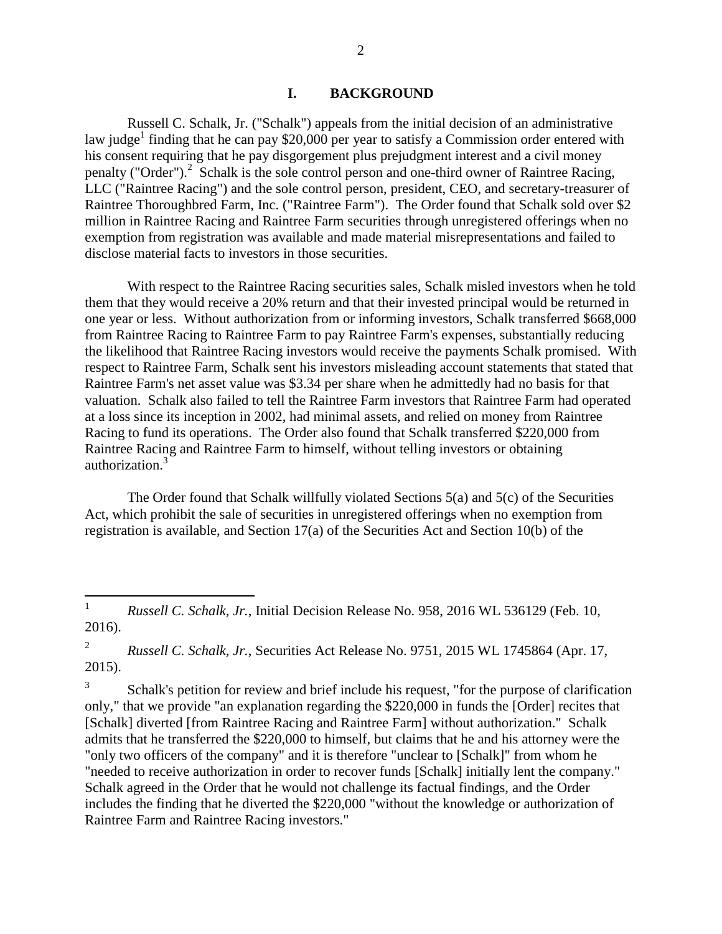#### **I. BACKGROUND**

Russell C. Schalk, Jr. ("Schalk") appeals from the initial decision of an administrative law judge<sup>1</sup> finding that he can pay \$20,000 per year to satisfy a Commission order entered with his consent requiring that he pay disgorgement plus prejudgment interest and a civil money penalty ("Order").<sup>2</sup> Schalk is the sole control person and one-third owner of Raintree Racing, LLC ("Raintree Racing") and the sole control person, president, CEO, and secretary-treasurer of Raintree Thoroughbred Farm, Inc. ("Raintree Farm"). The Order found that Schalk sold over \$2 million in Raintree Racing and Raintree Farm securities through unregistered offerings when no exemption from registration was available and made material misrepresentations and failed to disclose material facts to investors in those securities.

With respect to the Raintree Racing securities sales, Schalk misled investors when he told them that they would receive a 20% return and that their invested principal would be returned in one year or less. Without authorization from or informing investors, Schalk transferred \$668,000 from Raintree Racing to Raintree Farm to pay Raintree Farm's expenses, substantially reducing the likelihood that Raintree Racing investors would receive the payments Schalk promised. With respect to Raintree Farm, Schalk sent his investors misleading account statements that stated that Raintree Farm's net asset value was \$3.34 per share when he admittedly had no basis for that valuation. Schalk also failed to tell the Raintree Farm investors that Raintree Farm had operated at a loss since its inception in 2002, had minimal assets, and relied on money from Raintree Racing to fund its operations. The Order also found that Schalk transferred \$220,000 from Raintree Racing and Raintree Farm to himself, without telling investors or obtaining authorization.<sup>3</sup>

The Order found that Schalk willfully violated Sections 5(a) and 5(c) of the Securities Act, which prohibit the sale of securities in unregistered offerings when no exemption from registration is available, and Section 17(a) of the Securities Act and Section 10(b) of the

2 *Russell C. Schalk, Jr.*, Securities Act Release No. 9751, 2015 WL 1745864 (Apr. 17, 2015).

3 Schalk's petition for review and brief include his request, "for the purpose of clarification only," that we provide "an explanation regarding the \$220,000 in funds the [Order] recites that [Schalk] diverted [from Raintree Racing and Raintree Farm] without authorization." Schalk admits that he transferred the \$220,000 to himself, but claims that he and his attorney were the "only two officers of the company" and it is therefore "unclear to [Schalk]" from whom he "needed to receive authorization in order to recover funds [Schalk] initially lent the company." Schalk agreed in the Order that he would not challenge its factual findings, and the Order includes the finding that he diverted the \$220,000 "without the knowledge or authorization of Raintree Farm and Raintree Racing investors."

 $\frac{1}{1}$ *Russell C. Schalk, Jr.*, Initial Decision Release No. 958, 2016 WL 536129 (Feb. 10, 2016).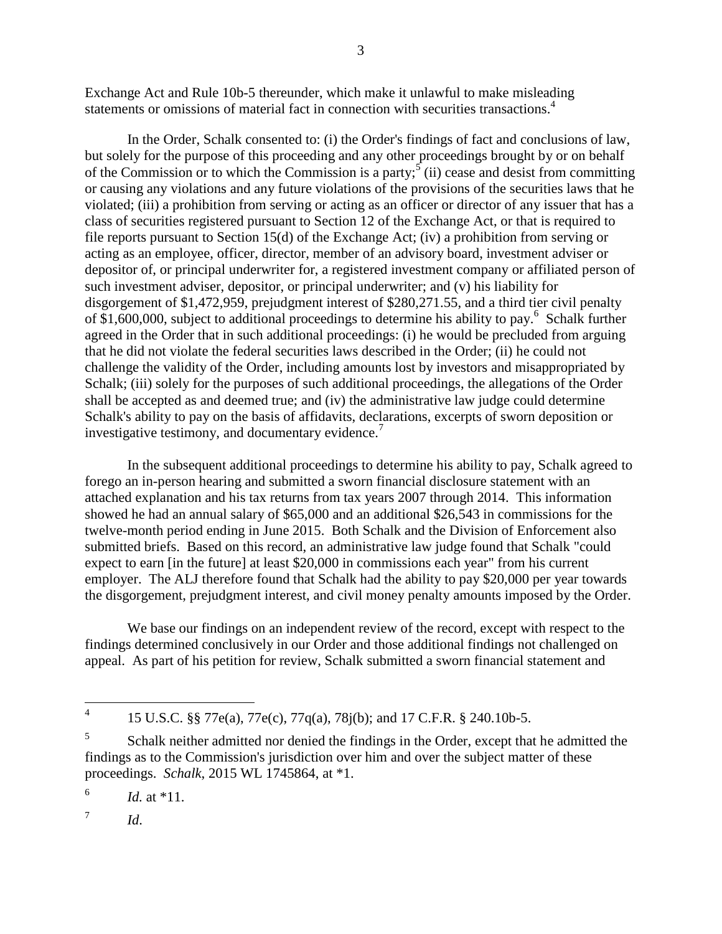Exchange Act and Rule 10b-5 thereunder, which make it unlawful to make misleading statements or omissions of material fact in connection with securities transactions.<sup>4</sup>

In the Order, Schalk consented to: (i) the Order's findings of fact and conclusions of law, but solely for the purpose of this proceeding and any other proceedings brought by or on behalf of the Commission or to which the Commission is a party;  $\sin$  cease and desist from committing or causing any violations and any future violations of the provisions of the securities laws that he violated; (iii) a prohibition from serving or acting as an officer or director of any issuer that has a class of securities registered pursuant to Section 12 of the Exchange Act, or that is required to file reports pursuant to Section 15(d) of the Exchange Act; (iv) a prohibition from serving or acting as an employee, officer, director, member of an advisory board, investment adviser or depositor of, or principal underwriter for, a registered investment company or affiliated person of such investment adviser, depositor, or principal underwriter; and (v) his liability for disgorgement of \$1,472,959, prejudgment interest of \$280,271.55, and a third tier civil penalty of \$1,600,000, subject to additional proceedings to determine his ability to pay.<sup>6</sup> Schalk further agreed in the Order that in such additional proceedings: (i) he would be precluded from arguing that he did not violate the federal securities laws described in the Order; (ii) he could not challenge the validity of the Order, including amounts lost by investors and misappropriated by Schalk; (iii) solely for the purposes of such additional proceedings, the allegations of the Order shall be accepted as and deemed true; and (iv) the administrative law judge could determine Schalk's ability to pay on the basis of affidavits, declarations, excerpts of sworn deposition or investigative testimony, and documentary evidence.<sup>7</sup>

In the subsequent additional proceedings to determine his ability to pay, Schalk agreed to forego an in-person hearing and submitted a sworn financial disclosure statement with an attached explanation and his tax returns from tax years 2007 through 2014. This information showed he had an annual salary of \$65,000 and an additional \$26,543 in commissions for the twelve-month period ending in June 2015. Both Schalk and the Division of Enforcement also submitted briefs. Based on this record, an administrative law judge found that Schalk "could expect to earn [in the future] at least \$20,000 in commissions each year" from his current employer. The ALJ therefore found that Schalk had the ability to pay \$20,000 per year towards the disgorgement, prejudgment interest, and civil money penalty amounts imposed by the Order.

We base our findings on an independent review of the record, except with respect to the findings determined conclusively in our Order and those additional findings not challenged on appeal. As part of his petition for review, Schalk submitted a sworn financial statement and

7 *Id*.

 $\frac{1}{4}$ 15 U.S.C. §§ 77e(a), 77e(c), 77q(a), 78j(b); and 17 C.F.R. § 240.10b-5.

<sup>5</sup> Schalk neither admitted nor denied the findings in the Order, except that he admitted the findings as to the Commission's jurisdiction over him and over the subject matter of these proceedings. *Schalk*, 2015 WL 1745864, at \*1.

<sup>6</sup> *Id.* at \*11.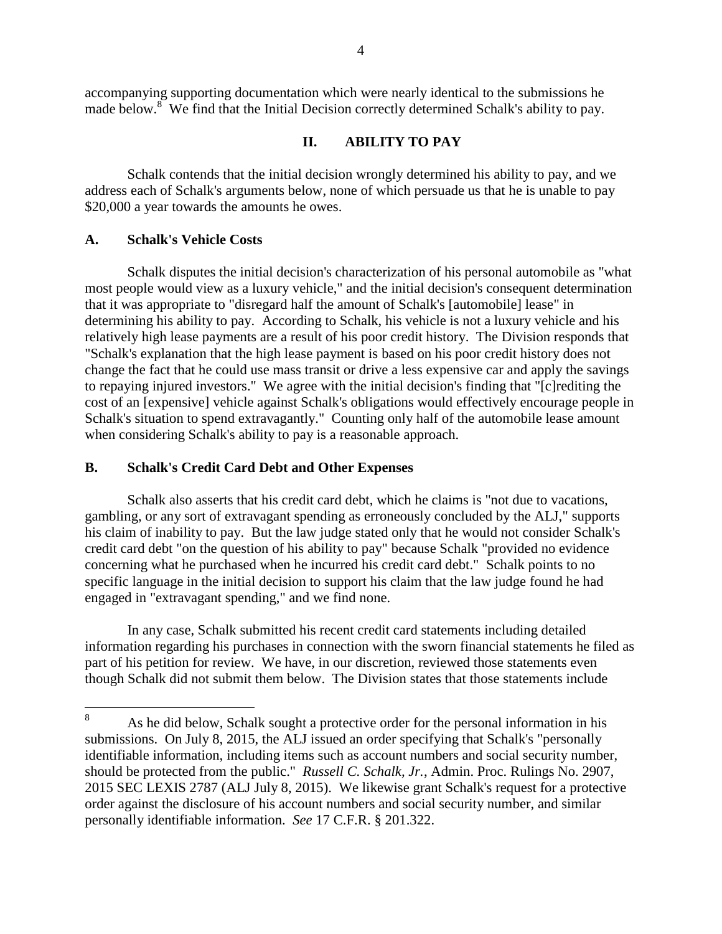accompanying supporting documentation which were nearly identical to the submissions he made below.<sup>8</sup> We find that the Initial Decision correctly determined Schalk's ability to pay.

# **II. ABILITY TO PAY**

Schalk contends that the initial decision wrongly determined his ability to pay, and we address each of Schalk's arguments below, none of which persuade us that he is unable to pay \$20,000 a year towards the amounts he owes.

## **A. Schalk's Vehicle Costs**

Schalk disputes the initial decision's characterization of his personal automobile as "what most people would view as a luxury vehicle," and the initial decision's consequent determination that it was appropriate to "disregard half the amount of Schalk's [automobile] lease" in determining his ability to pay. According to Schalk, his vehicle is not a luxury vehicle and his relatively high lease payments are a result of his poor credit history. The Division responds that "Schalk's explanation that the high lease payment is based on his poor credit history does not change the fact that he could use mass transit or drive a less expensive car and apply the savings to repaying injured investors." We agree with the initial decision's finding that "[c]rediting the cost of an [expensive] vehicle against Schalk's obligations would effectively encourage people in Schalk's situation to spend extravagantly." Counting only half of the automobile lease amount when considering Schalk's ability to pay is a reasonable approach.

#### **B. Schalk's Credit Card Debt and Other Expenses**

Schalk also asserts that his credit card debt, which he claims is "not due to vacations, gambling, or any sort of extravagant spending as erroneously concluded by the ALJ," supports his claim of inability to pay. But the law judge stated only that he would not consider Schalk's credit card debt "on the question of his ability to pay" because Schalk "provided no evidence concerning what he purchased when he incurred his credit card debt." Schalk points to no specific language in the initial decision to support his claim that the law judge found he had engaged in "extravagant spending," and we find none.

In any case, Schalk submitted his recent credit card statements including detailed information regarding his purchases in connection with the sworn financial statements he filed as part of his petition for review. We have, in our discretion, reviewed those statements even though Schalk did not submit them below. The Division states that those statements include

<sup>8</sup> As he did below, Schalk sought a protective order for the personal information in his submissions. On July 8, 2015, the ALJ issued an order specifying that Schalk's "personally identifiable information, including items such as account numbers and social security number, should be protected from the public." *Russell C. Schalk, Jr.*, Admin. Proc. Rulings No. 2907, 2015 SEC LEXIS 2787 (ALJ July 8, 2015).We likewise grant Schalk's request for a protective order against the disclosure of his account numbers and social security number, and similar personally identifiable information. *See* 17 C.F.R. § 201.322.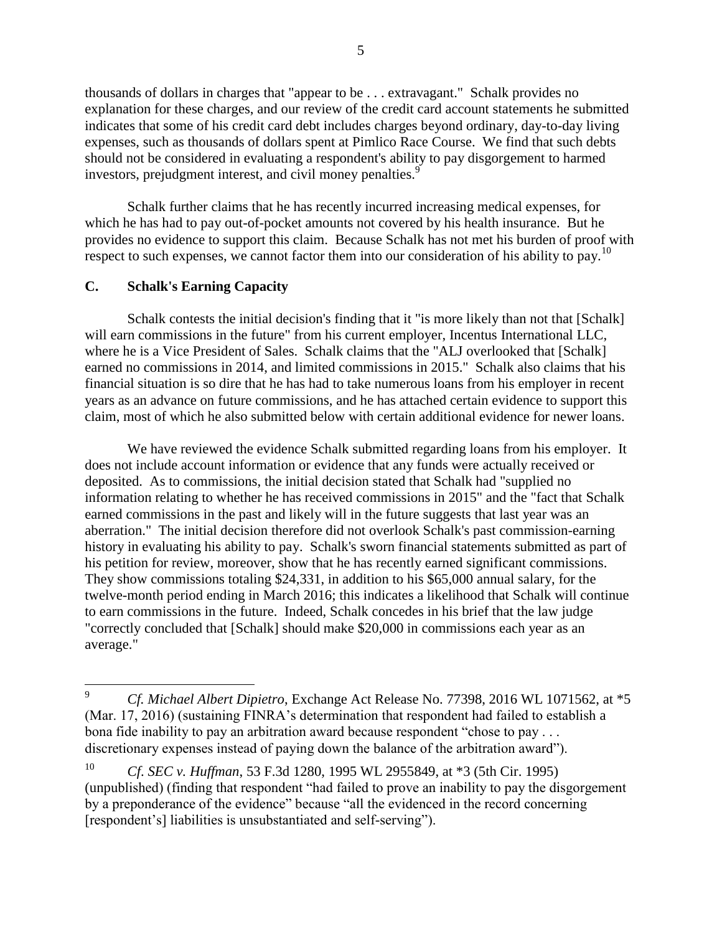thousands of dollars in charges that "appear to be . . . extravagant." Schalk provides no explanation for these charges, and our review of the credit card account statements he submitted indicates that some of his credit card debt includes charges beyond ordinary, day-to-day living expenses, such as thousands of dollars spent at Pimlico Race Course. We find that such debts should not be considered in evaluating a respondent's ability to pay disgorgement to harmed investors, prejudgment interest, and civil money penalties.<sup>9</sup>

Schalk further claims that he has recently incurred increasing medical expenses, for which he has had to pay out-of-pocket amounts not covered by his health insurance. But he provides no evidence to support this claim. Because Schalk has not met his burden of proof with respect to such expenses, we cannot factor them into our consideration of his ability to pay.<sup>10</sup>

## **C. Schalk's Earning Capacity**

 $\overline{a}$ 

Schalk contests the initial decision's finding that it "is more likely than not that [Schalk] will earn commissions in the future" from his current employer, Incentus International LLC, where he is a Vice President of Sales. Schalk claims that the "ALJ overlooked that [Schalk] earned no commissions in 2014, and limited commissions in 2015." Schalk also claims that his financial situation is so dire that he has had to take numerous loans from his employer in recent years as an advance on future commissions, and he has attached certain evidence to support this claim, most of which he also submitted below with certain additional evidence for newer loans.

We have reviewed the evidence Schalk submitted regarding loans from his employer. It does not include account information or evidence that any funds were actually received or deposited. As to commissions, the initial decision stated that Schalk had "supplied no information relating to whether he has received commissions in 2015" and the "fact that Schalk earned commissions in the past and likely will in the future suggests that last year was an aberration." The initial decision therefore did not overlook Schalk's past commission-earning history in evaluating his ability to pay. Schalk's sworn financial statements submitted as part of his petition for review, moreover, show that he has recently earned significant commissions. They show commissions totaling \$24,331, in addition to his \$65,000 annual salary, for the twelve-month period ending in March 2016; this indicates a likelihood that Schalk will continue to earn commissions in the future. Indeed, Schalk concedes in his brief that the law judge "correctly concluded that [Schalk] should make \$20,000 in commissions each year as an average."

<sup>9</sup> *Cf. Michael Albert Dipietro*, Exchange Act Release No. 77398, 2016 WL 1071562, at \*5 (Mar. 17, 2016) (sustaining FINRA's determination that respondent had failed to establish a bona fide inability to pay an arbitration award because respondent "chose to pay ... discretionary expenses instead of paying down the balance of the arbitration award").

<sup>10</sup> *Cf*. *SEC v. Huffman*, 53 F.3d 1280, 1995 WL 2955849, at \*3 (5th Cir. 1995) (unpublished) (finding that respondent "had failed to prove an inability to pay the disgorgement by a preponderance of the evidence" because "all the evidenced in the record concerning [respondent's] liabilities is unsubstantiated and self-serving").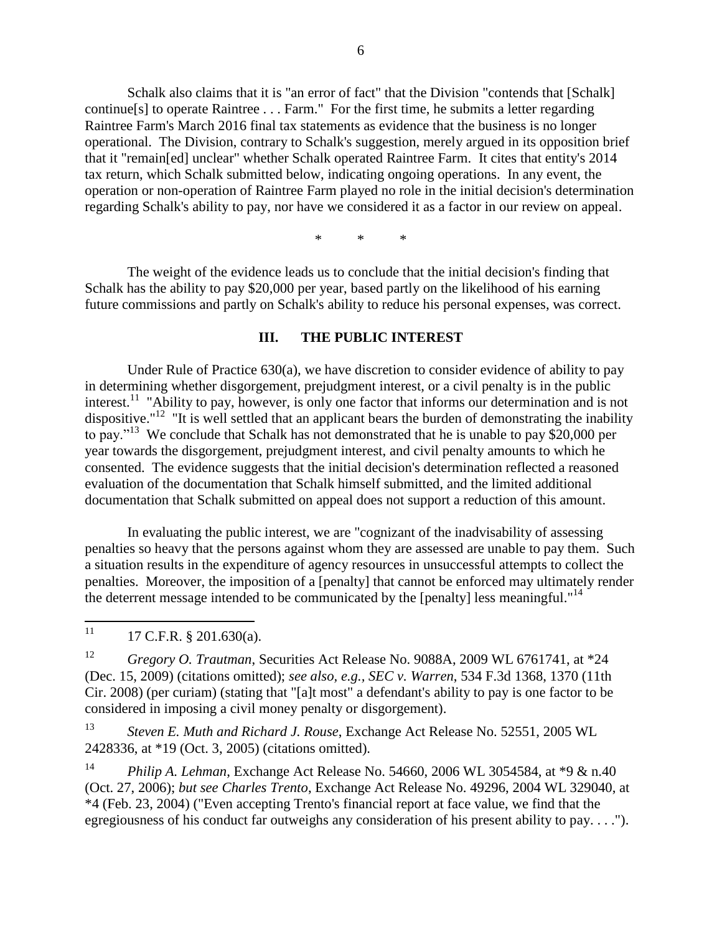Schalk also claims that it is "an error of fact" that the Division "contends that [Schalk] continue[s] to operate Raintree . . . Farm." For the first time, he submits a letter regarding Raintree Farm's March 2016 final tax statements as evidence that the business is no longer operational. The Division, contrary to Schalk's suggestion, merely argued in its opposition brief that it "remain[ed] unclear" whether Schalk operated Raintree Farm. It cites that entity's 2014 tax return, which Schalk submitted below, indicating ongoing operations. In any event, the operation or non-operation of Raintree Farm played no role in the initial decision's determination regarding Schalk's ability to pay, nor have we considered it as a factor in our review on appeal.

\* \* \*

The weight of the evidence leads us to conclude that the initial decision's finding that Schalk has the ability to pay \$20,000 per year, based partly on the likelihood of his earning future commissions and partly on Schalk's ability to reduce his personal expenses, was correct.

#### **III. THE PUBLIC INTEREST**

Under Rule of Practice 630(a), we have discretion to consider evidence of ability to pay in determining whether disgorgement, prejudgment interest, or a civil penalty is in the public interest.<sup>11</sup> "Ability to pay, however, is only one factor that informs our determination and is not dispositive."<sup>12</sup> "It is well settled that an applicant bears the burden of demonstrating the inability to pay."<sup>13</sup> We conclude that Schalk has not demonstrated that he is unable to pay \$20,000 per year towards the disgorgement, prejudgment interest, and civil penalty amounts to which he consented. The evidence suggests that the initial decision's determination reflected a reasoned evaluation of the documentation that Schalk himself submitted, and the limited additional documentation that Schalk submitted on appeal does not support a reduction of this amount.

In evaluating the public interest, we are "cognizant of the inadvisability of assessing penalties so heavy that the persons against whom they are assessed are unable to pay them. Such a situation results in the expenditure of agency resources in unsuccessful attempts to collect the penalties. Moreover, the imposition of a [penalty] that cannot be enforced may ultimately render the deterrent message intended to be communicated by the [penalty] less meaningful."<sup>14</sup>

 $11$ <sup>11</sup> 17 C.F.R. § 201.630(a).

<sup>12</sup> *Gregory O. Trautman*, Securities Act Release No. 9088A, 2009 WL 6761741, at \*24 (Dec. 15, 2009) (citations omitted); *see also, e.g., SEC v. Warren*, 534 F.3d 1368, 1370 (11th Cir. 2008) (per curiam) (stating that "[a]t most" a defendant's ability to pay is one factor to be considered in imposing a civil money penalty or disgorgement).

<sup>13</sup> *Steven E. Muth and Richard J. Rouse*, Exchange Act Release No. 52551, 2005 WL 2428336, at \*19 (Oct. 3, 2005) (citations omitted).

<sup>14</sup> *Philip A. Lehman*, Exchange Act Release No. 54660, 2006 WL 3054584, at \*9 & n.40 (Oct. 27, 2006); *but see Charles Trento*, Exchange Act Release No. 49296, 2004 WL 329040, at \*4 (Feb. 23, 2004) ("Even accepting Trento's financial report at face value, we find that the egregiousness of his conduct far outweighs any consideration of his present ability to pay. . . .").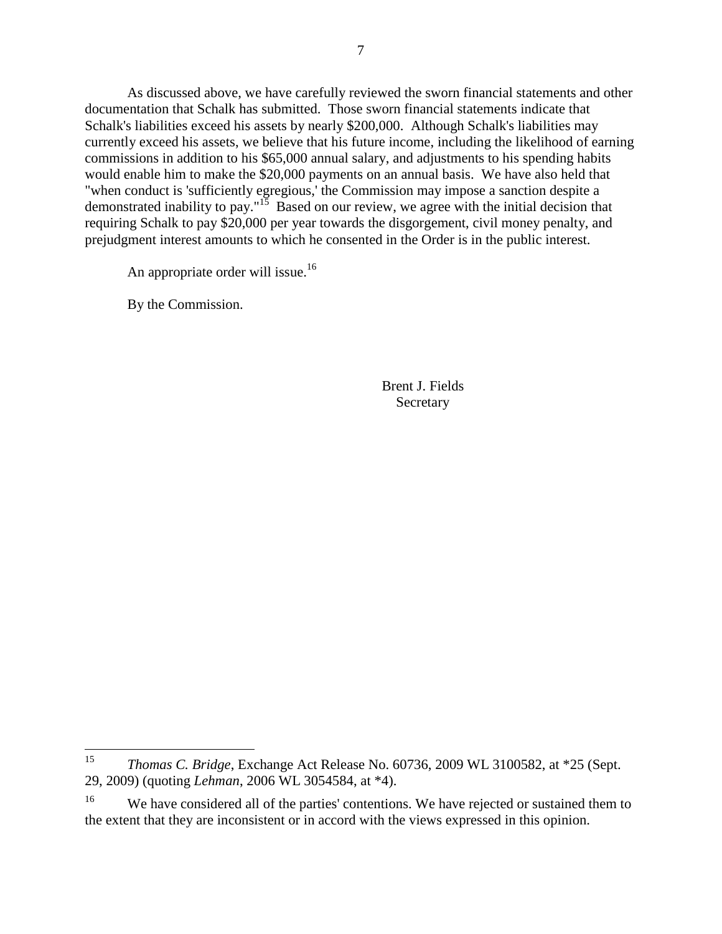As discussed above, we have carefully reviewed the sworn financial statements and other documentation that Schalk has submitted. Those sworn financial statements indicate that Schalk's liabilities exceed his assets by nearly \$200,000. Although Schalk's liabilities may currently exceed his assets, we believe that his future income, including the likelihood of earning commissions in addition to his \$65,000 annual salary, and adjustments to his spending habits would enable him to make the \$20,000 payments on an annual basis. We have also held that "when conduct is 'sufficiently egregious,' the Commission may impose a sanction despite a demonstrated inability to pay."<sup>15</sup> Based on our review, we agree with the initial decision that requiring Schalk to pay \$20,000 per year towards the disgorgement, civil money penalty, and prejudgment interest amounts to which he consented in the Order is in the public interest.

An appropriate order will issue.<sup>16</sup>

By the Commission.

Brent J. Fields Secretary

<sup>15</sup> <sup>15</sup> *Thomas C. Bridge*, Exchange Act Release No. 60736, 2009 WL 3100582, at \*25 (Sept. 29, 2009) (quoting *Lehman*, 2006 WL 3054584, at \*4).

<sup>&</sup>lt;sup>16</sup> We have considered all of the parties' contentions. We have rejected or sustained them to the extent that they are inconsistent or in accord with the views expressed in this opinion.